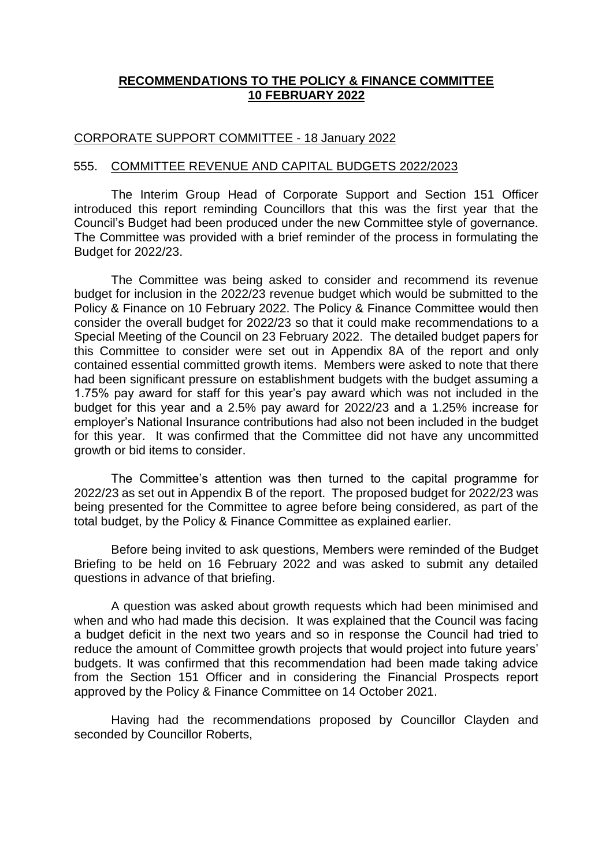### **RECOMMENDATIONS TO THE POLICY & FINANCE COMMITTEE 10 FEBRUARY 2022**

#### CORPORATE SUPPORT COMMITTEE - 18 January 2022

#### 555. COMMITTEE REVENUE AND CAPITAL BUDGETS 2022/2023

The Interim Group Head of Corporate Support and Section 151 Officer introduced this report reminding Councillors that this was the first year that the Council's Budget had been produced under the new Committee style of governance. The Committee was provided with a brief reminder of the process in formulating the Budget for 2022/23.

The Committee was being asked to consider and recommend its revenue budget for inclusion in the 2022/23 revenue budget which would be submitted to the Policy & Finance on 10 February 2022. The Policy & Finance Committee would then consider the overall budget for 2022/23 so that it could make recommendations to a Special Meeting of the Council on 23 February 2022. The detailed budget papers for this Committee to consider were set out in Appendix 8A of the report and only contained essential committed growth items. Members were asked to note that there had been significant pressure on establishment budgets with the budget assuming a 1.75% pay award for staff for this year's pay award which was not included in the budget for this year and a 2.5% pay award for 2022/23 and a 1.25% increase for employer's National Insurance contributions had also not been included in the budget for this year. It was confirmed that the Committee did not have any uncommitted growth or bid items to consider.

The Committee's attention was then turned to the capital programme for 2022/23 as set out in Appendix B of the report. The proposed budget for 2022/23 was being presented for the Committee to agree before being considered, as part of the total budget, by the Policy & Finance Committee as explained earlier.

Before being invited to ask questions, Members were reminded of the Budget Briefing to be held on 16 February 2022 and was asked to submit any detailed questions in advance of that briefing.

A question was asked about growth requests which had been minimised and when and who had made this decision. It was explained that the Council was facing a budget deficit in the next two years and so in response the Council had tried to reduce the amount of Committee growth projects that would project into future years' budgets. It was confirmed that this recommendation had been made taking advice from the Section 151 Officer and in considering the Financial Prospects report approved by the Policy & Finance Committee on 14 October 2021.

Having had the recommendations proposed by Councillor Clayden and seconded by Councillor Roberts,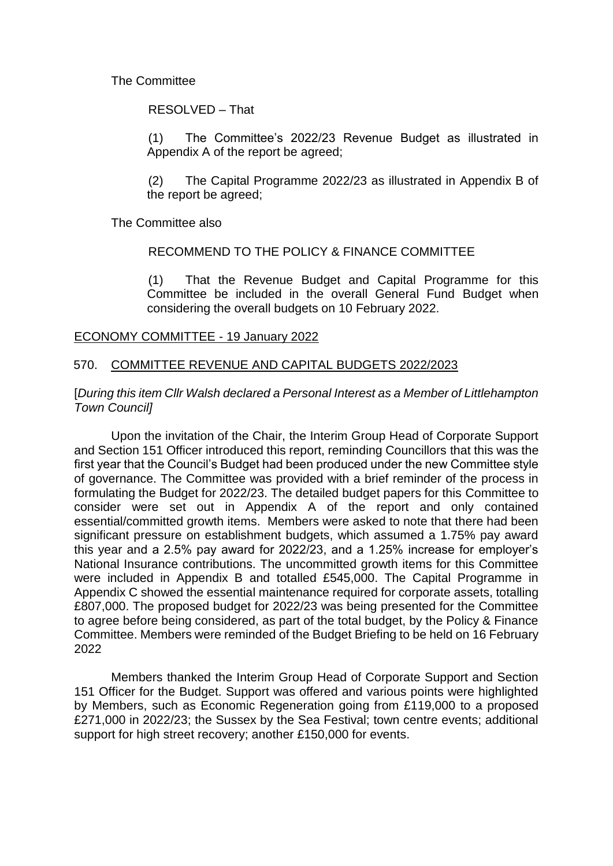### The Committee

RESOLVED – That

(1) The Committee's 2022/23 Revenue Budget as illustrated in Appendix A of the report be agreed;

(2) The Capital Programme 2022/23 as illustrated in Appendix B of the report be agreed;

The Committee also

RECOMMEND TO THE POLICY & FINANCE COMMITTEE

(1) That the Revenue Budget and Capital Programme for this Committee be included in the overall General Fund Budget when considering the overall budgets on 10 February 2022.

### ECONOMY COMMITTEE - 19 January 2022

### 570. COMMITTEE REVENUE AND CAPITAL BUDGETS 2022/2023

#### [*During this item Cllr Walsh declared a Personal Interest as a Member of Littlehampton Town Council]*

Upon the invitation of the Chair, the Interim Group Head of Corporate Support and Section 151 Officer introduced this report, reminding Councillors that this was the first year that the Council's Budget had been produced under the new Committee style of governance. The Committee was provided with a brief reminder of the process in formulating the Budget for 2022/23. The detailed budget papers for this Committee to consider were set out in Appendix A of the report and only contained essential/committed growth items. Members were asked to note that there had been significant pressure on establishment budgets, which assumed a 1.75% pay award this year and a 2.5% pay award for 2022/23, and a 1.25% increase for employer's National Insurance contributions. The uncommitted growth items for this Committee were included in Appendix B and totalled £545,000. The Capital Programme in Appendix C showed the essential maintenance required for corporate assets, totalling £807,000. The proposed budget for 2022/23 was being presented for the Committee to agree before being considered, as part of the total budget, by the Policy & Finance Committee. Members were reminded of the Budget Briefing to be held on 16 February 2022

Members thanked the Interim Group Head of Corporate Support and Section 151 Officer for the Budget. Support was offered and various points were highlighted by Members, such as Economic Regeneration going from £119,000 to a proposed £271,000 in 2022/23; the Sussex by the Sea Festival; town centre events; additional support for high street recovery; another £150,000 for events.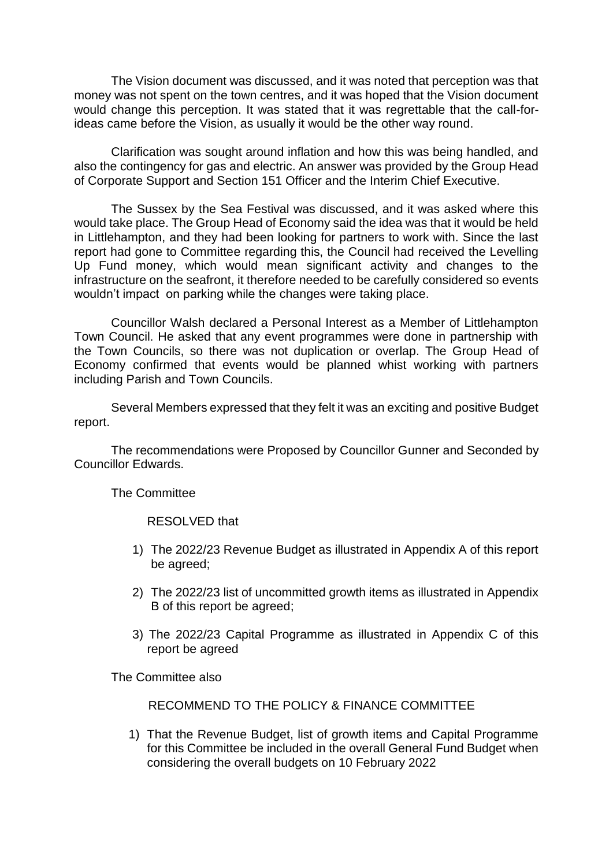The Vision document was discussed, and it was noted that perception was that money was not spent on the town centres, and it was hoped that the Vision document would change this perception. It was stated that it was regrettable that the call-forideas came before the Vision, as usually it would be the other way round.

Clarification was sought around inflation and how this was being handled, and also the contingency for gas and electric. An answer was provided by the Group Head of Corporate Support and Section 151 Officer and the Interim Chief Executive.

The Sussex by the Sea Festival was discussed, and it was asked where this would take place. The Group Head of Economy said the idea was that it would be held in Littlehampton, and they had been looking for partners to work with. Since the last report had gone to Committee regarding this, the Council had received the Levelling Up Fund money, which would mean significant activity and changes to the infrastructure on the seafront, it therefore needed to be carefully considered so events wouldn't impact on parking while the changes were taking place.

Councillor Walsh declared a Personal Interest as a Member of Littlehampton Town Council. He asked that any event programmes were done in partnership with the Town Councils, so there was not duplication or overlap. The Group Head of Economy confirmed that events would be planned whist working with partners including Parish and Town Councils.

Several Members expressed that they felt it was an exciting and positive Budget report.

The recommendations were Proposed by Councillor Gunner and Seconded by Councillor Edwards.

The Committee

RESOLVED that

- 1) The 2022/23 Revenue Budget as illustrated in Appendix A of this report be agreed;
- 2) The 2022/23 list of uncommitted growth items as illustrated in Appendix B of this report be agreed;
- 3) The 2022/23 Capital Programme as illustrated in Appendix C of this report be agreed

The Committee also

RECOMMEND TO THE POLICY & FINANCE COMMITTEE

1) That the Revenue Budget, list of growth items and Capital Programme for this Committee be included in the overall General Fund Budget when considering the overall budgets on 10 February 2022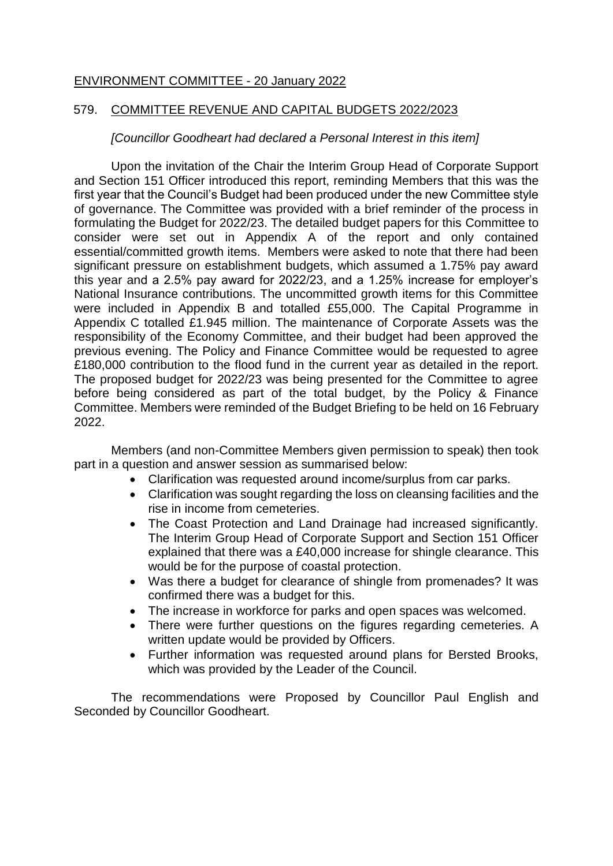### ENVIRONMENT COMMITTEE - 20 January 2022

#### 579. COMMITTEE REVENUE AND CAPITAL BUDGETS 2022/2023

### *[Councillor Goodheart had declared a Personal Interest in this item]*

Upon the invitation of the Chair the Interim Group Head of Corporate Support and Section 151 Officer introduced this report, reminding Members that this was the first year that the Council's Budget had been produced under the new Committee style of governance. The Committee was provided with a brief reminder of the process in formulating the Budget for 2022/23. The detailed budget papers for this Committee to consider were set out in Appendix A of the report and only contained essential/committed growth items. Members were asked to note that there had been significant pressure on establishment budgets, which assumed a 1.75% pay award this year and a 2.5% pay award for 2022/23, and a 1.25% increase for employer's National Insurance contributions. The uncommitted growth items for this Committee were included in Appendix B and totalled £55,000. The Capital Programme in Appendix C totalled £1.945 million. The maintenance of Corporate Assets was the responsibility of the Economy Committee, and their budget had been approved the previous evening. The Policy and Finance Committee would be requested to agree £180,000 contribution to the flood fund in the current year as detailed in the report. The proposed budget for 2022/23 was being presented for the Committee to agree before being considered as part of the total budget, by the Policy & Finance Committee. Members were reminded of the Budget Briefing to be held on 16 February 2022.

Members (and non-Committee Members given permission to speak) then took part in a question and answer session as summarised below:

- Clarification was requested around income/surplus from car parks.
- Clarification was sought regarding the loss on cleansing facilities and the rise in income from cemeteries.
- The Coast Protection and Land Drainage had increased significantly. The Interim Group Head of Corporate Support and Section 151 Officer explained that there was a £40,000 increase for shingle clearance. This would be for the purpose of coastal protection.
- Was there a budget for clearance of shingle from promenades? It was confirmed there was a budget for this.
- The increase in workforce for parks and open spaces was welcomed.
- There were further questions on the figures regarding cemeteries. A written update would be provided by Officers.
- Further information was requested around plans for Bersted Brooks, which was provided by the Leader of the Council.

The recommendations were Proposed by Councillor Paul English and Seconded by Councillor Goodheart.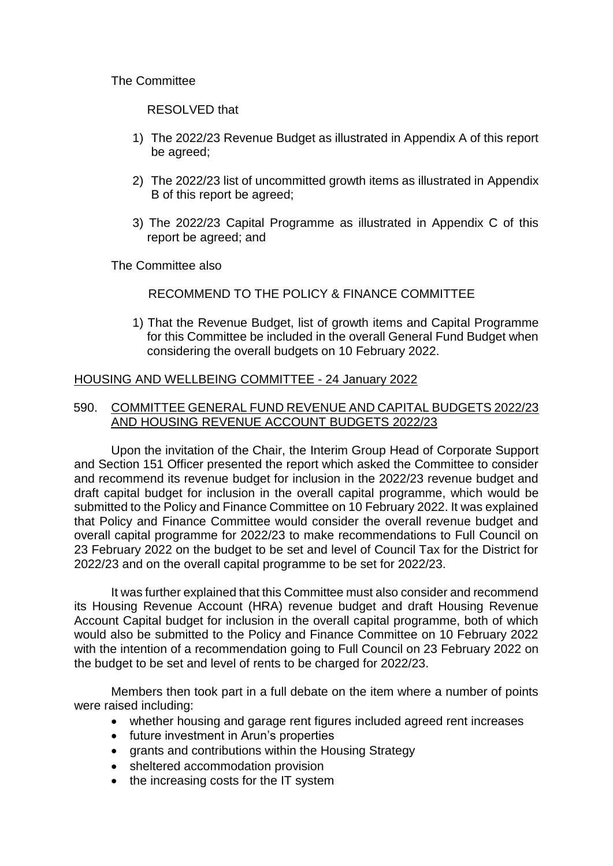The Committee

RESOLVED that

- 1) The 2022/23 Revenue Budget as illustrated in Appendix A of this report be agreed;
- 2) The 2022/23 list of uncommitted growth items as illustrated in Appendix B of this report be agreed;
- 3) The 2022/23 Capital Programme as illustrated in Appendix C of this report be agreed; and

The Committee also

## RECOMMEND TO THE POLICY & FINANCE COMMITTEE

1) That the Revenue Budget, list of growth items and Capital Programme for this Committee be included in the overall General Fund Budget when considering the overall budgets on 10 February 2022.

### HOUSING AND WELLBEING COMMITTEE - 24 January 2022

### 590. COMMITTEE GENERAL FUND REVENUE AND CAPITAL BUDGETS 2022/23 AND HOUSING REVENUE ACCOUNT BUDGETS 2022/23

Upon the invitation of the Chair, the Interim Group Head of Corporate Support and Section 151 Officer presented the report which asked the Committee to consider and recommend its revenue budget for inclusion in the 2022/23 revenue budget and draft capital budget for inclusion in the overall capital programme, which would be submitted to the Policy and Finance Committee on 10 February 2022. It was explained that Policy and Finance Committee would consider the overall revenue budget and overall capital programme for 2022/23 to make recommendations to Full Council on 23 February 2022 on the budget to be set and level of Council Tax for the District for 2022/23 and on the overall capital programme to be set for 2022/23.

It was further explained that this Committee must also consider and recommend its Housing Revenue Account (HRA) revenue budget and draft Housing Revenue Account Capital budget for inclusion in the overall capital programme, both of which would also be submitted to the Policy and Finance Committee on 10 February 2022 with the intention of a recommendation going to Full Council on 23 February 2022 on the budget to be set and level of rents to be charged for 2022/23.

Members then took part in a full debate on the item where a number of points were raised including:

- whether housing and garage rent figures included agreed rent increases
- future investment in Arun's properties
- grants and contributions within the Housing Strategy
- sheltered accommodation provision
- the increasing costs for the IT system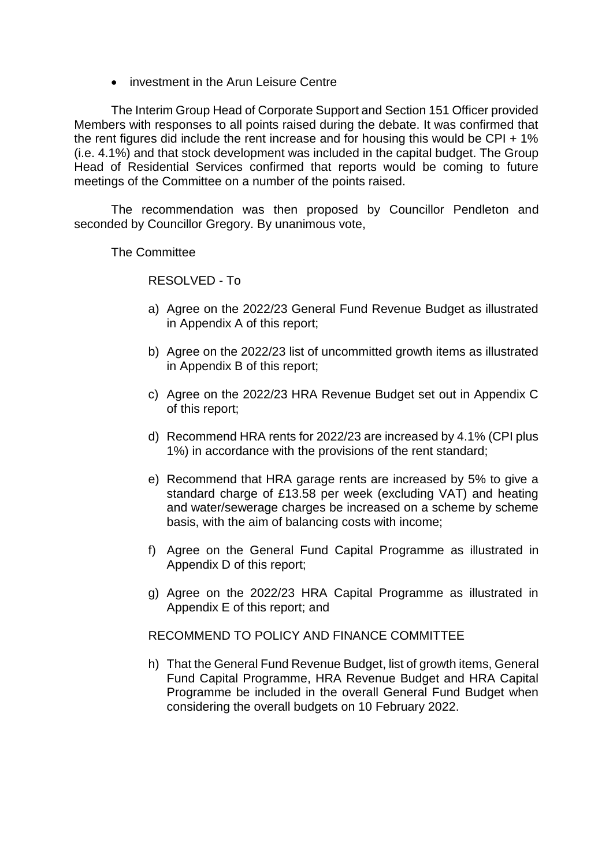• investment in the Arun Leisure Centre

The Interim Group Head of Corporate Support and Section 151 Officer provided Members with responses to all points raised during the debate. It was confirmed that the rent figures did include the rent increase and for housing this would be CPI + 1% (i.e. 4.1%) and that stock development was included in the capital budget. The Group Head of Residential Services confirmed that reports would be coming to future meetings of the Committee on a number of the points raised.

The recommendation was then proposed by Councillor Pendleton and seconded by Councillor Gregory. By unanimous vote,

The Committee

RESOLVED - To

- a) Agree on the 2022/23 General Fund Revenue Budget as illustrated in Appendix A of this report;
- b) Agree on the 2022/23 list of uncommitted growth items as illustrated in Appendix B of this report;
- c) Agree on the 2022/23 HRA Revenue Budget set out in Appendix C of this report;
- d) Recommend HRA rents for 2022/23 are increased by 4.1% (CPI plus 1%) in accordance with the provisions of the rent standard;
- e) Recommend that HRA garage rents are increased by 5% to give a standard charge of £13.58 per week (excluding VAT) and heating and water/sewerage charges be increased on a scheme by scheme basis, with the aim of balancing costs with income;
- f) Agree on the General Fund Capital Programme as illustrated in Appendix D of this report;
- g) Agree on the 2022/23 HRA Capital Programme as illustrated in Appendix E of this report; and

RECOMMEND TO POLICY AND FINANCE COMMITTEE

h) That the General Fund Revenue Budget, list of growth items, General Fund Capital Programme, HRA Revenue Budget and HRA Capital Programme be included in the overall General Fund Budget when considering the overall budgets on 10 February 2022.